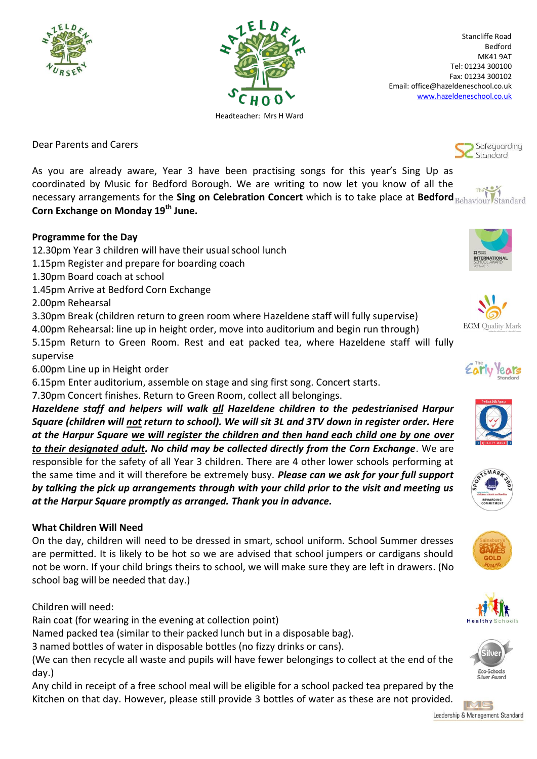



Stancliffe Road Bedford MK41 9AT Tel: 01234 300100 Fax: 01234 300102 Email: office@hazeldeneschool.co.uk [www.hazeldeneschool.co.uk](http://www.hazeldeneschool.co.uk/)

Dear Parents and Carers

As you are already aware, Year 3 have been practising songs for this year's Sing Up as coordinated by Music for Bedford Borough. We are writing to now let you know of all the necessary arrangements for the **Sing on Celebration Concert** which is to take place at **Bedford Corn Exchange on Monday 19th June.**

### **Programme for the Day**

- 12.30pm Year 3 children will have their usual school lunch
- 1.15pm Register and prepare for boarding coach
- 1.30pm Board coach at school
- 1.45pm Arrive at Bedford Corn Exchange

2.00pm Rehearsal

3.30pm Break (children return to green room where Hazeldene staff will fully supervise)

4.00pm Rehearsal: line up in height order, move into auditorium and begin run through)

5.15pm Return to Green Room. Rest and eat packed tea, where Hazeldene staff will fully supervise

6.00pm Line up in Height order

6.15pm Enter auditorium, assemble on stage and sing first song. Concert starts.

7.30pm Concert finishes. Return to Green Room, collect all belongings.

*Hazeldene staff and helpers will walk all Hazeldene children to the pedestrianised Harpur Square (children will not return to school). We will sit 3L and 3TV down in register order. Here at the Harpur Square we will register the children and then hand each child one by one over to their designated adult. No child may be collected directly from the Corn Exchange*. We are responsible for the safety of all Year 3 children. There are 4 other lower schools performing at the same time and it will therefore be extremely busy. *Please can we ask for your full support by talking the pick up arrangements through with your child prior to the visit and meeting us at the Harpur Square promptly as arranged. Thank you in advance.*

## **What Children Will Need**

On the day, children will need to be dressed in smart, school uniform. School Summer dresses are permitted. It is likely to be hot so we are advised that school jumpers or cardigans should not be worn. If your child brings theirs to school, we will make sure they are left in drawers. (No school bag will be needed that day.)

## Children will need:

Rain coat (for wearing in the evening at collection point)

Named packed tea (similar to their packed lunch but in a disposable bag).

3 named bottles of water in disposable bottles (no fizzy drinks or cans).

(We can then recycle all waste and pupils will have fewer belongings to collect at the end of the day.)

Any child in receipt of a free school meal will be eligible for a school packed tea prepared by the Kitchen on that day. However, please still provide 3 bottles of water as these are not provided.



















Safeguarding